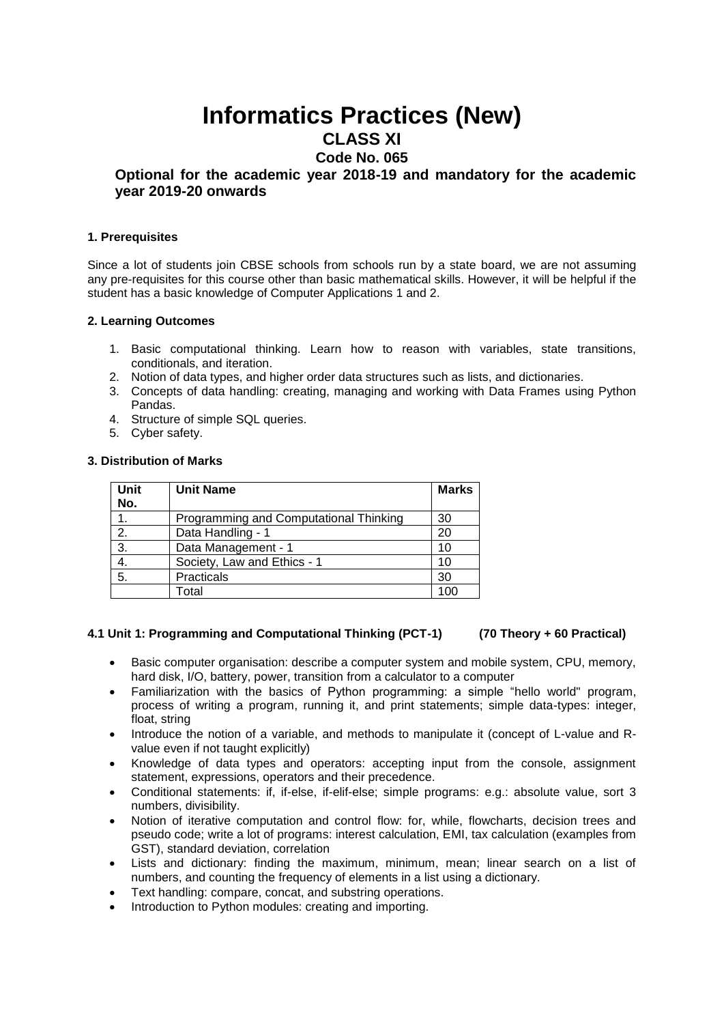# **Informatics Practices (New)**

## **CLASS XI**

## **Code No. 065**

### **Optional for the academic year 2018-19 and mandatory for the academic year 2019-20 onwards**

#### **1. Prerequisites**

Since a lot of students join CBSE schools from schools run by a state board, we are not assuming any pre-requisites for this course other than basic mathematical skills. However, it will be helpful if the student has a basic knowledge of Computer Applications 1 and 2.

### **2. Learning Outcomes**

- 1. Basic computational thinking. Learn how to reason with variables, state transitions, conditionals, and iteration.
- 2. Notion of data types, and higher order data structures such as lists, and dictionaries.
- 3. Concepts of data handling: creating, managing and working with Data Frames using Python Pandas.
- 4. Structure of simple SQL queries.
- 5. Cyber safety.

#### **3. Distribution of Marks**

| Unit<br>No. | <b>Unit Name</b>                       | <b>Marks</b> |
|-------------|----------------------------------------|--------------|
| 1.          | Programming and Computational Thinking | 30           |
| 2.          | Data Handling - 1                      | 20           |
| 3.          | Data Management - 1                    | 10           |
| 4.          | Society, Law and Ethics - 1            | 10           |
| 5.          | Practicals                             | 30           |
|             | Total                                  | 100          |

### **4.1 Unit 1: Programming and Computational Thinking (PCT-1) (70 Theory + 60 Practical)**

- Basic computer organisation: describe a computer system and mobile system, CPU, memory, hard disk, I/O, battery, power, transition from a calculator to a computer
- Familiarization with the basics of Python programming: a simple "hello world" program, process of writing a program, running it, and print statements; simple data-types: integer, float, string
- Introduce the notion of a variable, and methods to manipulate it (concept of L-value and Rvalue even if not taught explicitly)
- Knowledge of data types and operators: accepting input from the console, assignment statement, expressions, operators and their precedence.
- Conditional statements: if, if-else, if-elif-else; simple programs: e.g.: absolute value, sort 3 numbers, divisibility.
- Notion of iterative computation and control flow: for, while, flowcharts, decision trees and pseudo code; write a lot of programs: interest calculation, EMI, tax calculation (examples from GST), standard deviation, correlation
- Lists and dictionary: finding the maximum, minimum, mean; linear search on a list of numbers, and counting the frequency of elements in a list using a dictionary.
- Text handling: compare, concat, and substring operations.
- Introduction to Python modules: creating and importing.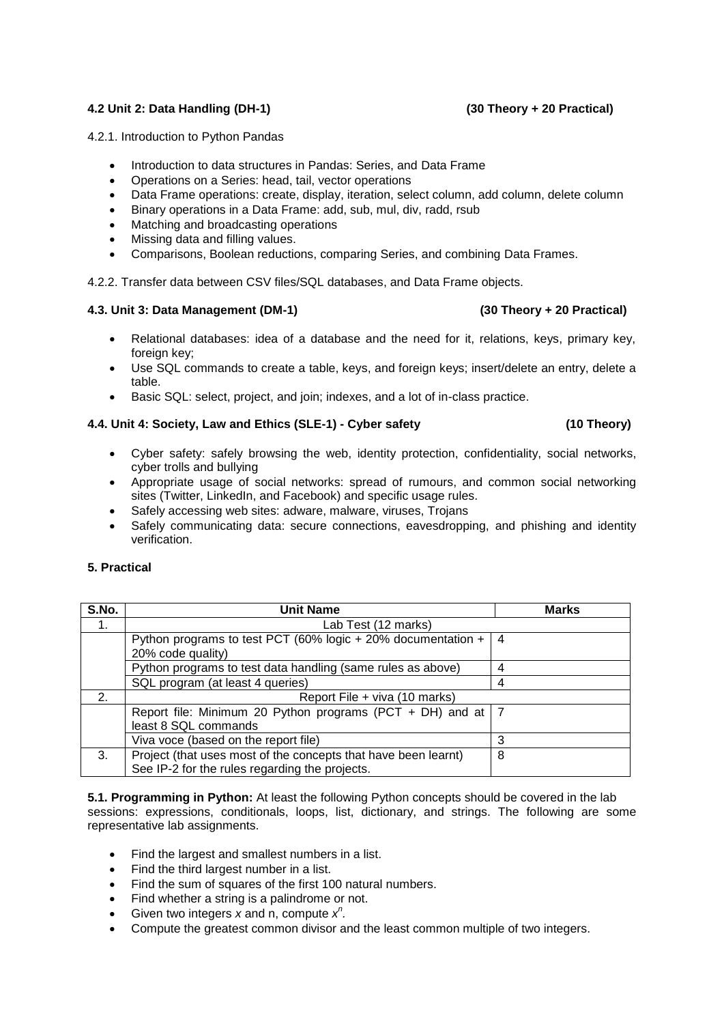### **4.2 Unit 2: Data Handling (DH-1) (30 Theory + 20 Practical)**

4.2.1. Introduction to Python Pandas

- Introduction to data structures in Pandas: Series, and Data Frame
- Operations on a Series: head, tail, vector operations
- Data Frame operations: create, display, iteration, select column, add column, delete column
- Binary operations in a Data Frame: add, sub, mul, div, radd, rsub
- Matching and broadcasting operations
- Missing data and filling values.
- Comparisons, Boolean reductions, comparing Series, and combining Data Frames.

4.2.2. Transfer data between CSV files/SQL databases, and Data Frame objects.

#### **4.3. Unit 3: Data Management (DM-1) (30 Theory + 20 Practical)**

- Relational databases: idea of a database and the need for it, relations, keys, primary key, foreign key;
- Use SQL commands to create a table, keys, and foreign keys; insert/delete an entry, delete a table.
- Basic SQL: select, project, and join; indexes, and a lot of in-class practice.

### **4.4. Unit 4: Society, Law and Ethics (SLE-1) - Cyber safety (10 Theory)**

- Cyber safety: safely browsing the web, identity protection, confidentiality, social networks, cyber trolls and bullying
- Appropriate usage of social networks: spread of rumours, and common social networking sites (Twitter, LinkedIn, and Facebook) and specific usage rules.
- Safely accessing web sites: adware, malware, viruses, Trojans
- Safely communicating data: secure connections, eavesdropping, and phishing and identity verification.

#### **5. Practical**

| S.No. | <b>Unit Name</b>                                                 | <b>Marks</b> |  |
|-------|------------------------------------------------------------------|--------------|--|
| 1.    | Lab Test (12 marks)                                              |              |  |
|       | Python programs to test PCT (60% logic $+$ 20% documentation $+$ | 4            |  |
|       | 20% code quality)                                                |              |  |
|       | Python programs to test data handling (same rules as above)      |              |  |
|       | SQL program (at least 4 queries)                                 | 4            |  |
| 2.    | Report File + viva (10 marks)                                    |              |  |
|       | Report file: Minimum 20 Python programs (PCT + DH) and at $ 7$   |              |  |
|       | least 8 SQL commands                                             |              |  |
|       | Viva voce (based on the report file)                             | 3            |  |
| 3.    | Project (that uses most of the concepts that have been learnt)   | 8            |  |
|       | See IP-2 for the rules regarding the projects.                   |              |  |

**5.1. Programming in Python:** At least the following Python concepts should be covered in the lab sessions: expressions, conditionals, loops, list, dictionary, and strings. The following are some representative lab assignments.

- Find the largest and smallest numbers in a list.
- Find the third largest number in a list.
- Find the sum of squares of the first 100 natural numbers.
- Find whether a string is a palindrome or not.
- Given two integers  $\overline{x}$  and n, compute  $x^n$ .
- Compute the greatest common divisor and the least common multiple of two integers.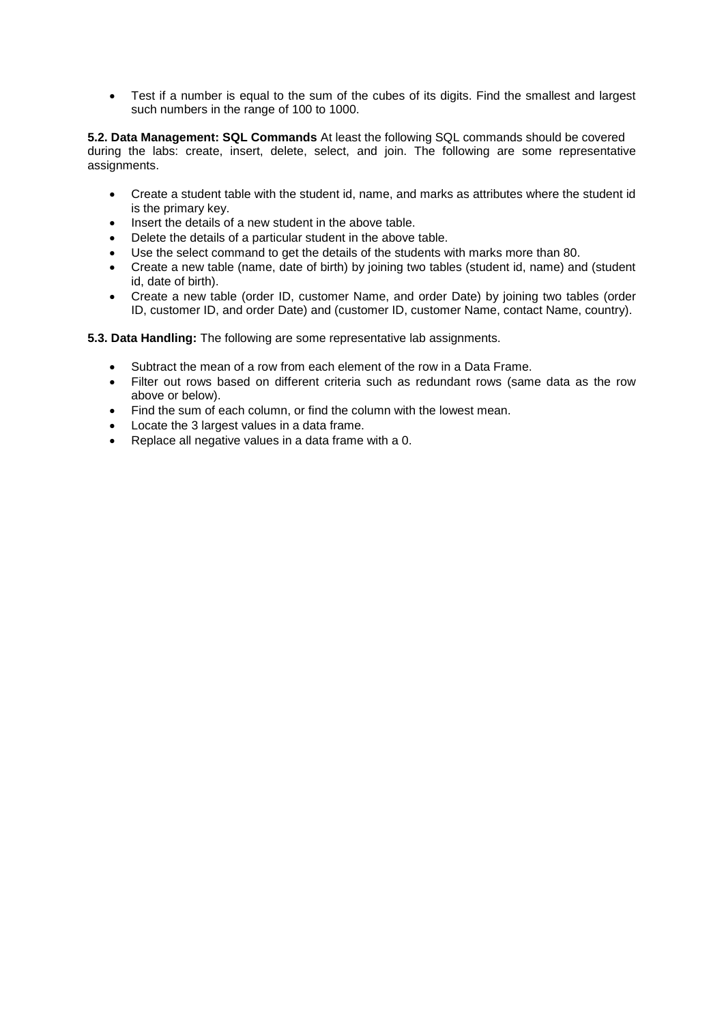Test if a number is equal to the sum of the cubes of its digits. Find the smallest and largest such numbers in the range of 100 to 1000.

**5.2. Data Management: SQL Commands** At least the following SQL commands should be covered during the labs: create, insert, delete, select, and join. The following are some representative assignments.

- Create a student table with the student id, name, and marks as attributes where the student id is the primary key.
- Insert the details of a new student in the above table.
- Delete the details of a particular student in the above table.
- Use the select command to get the details of the students with marks more than 80.
- Create a new table (name, date of birth) by joining two tables (student id, name) and (student id, date of birth).
- Create a new table (order ID, customer Name, and order Date) by joining two tables (order ID, customer ID, and order Date) and (customer ID, customer Name, contact Name, country).

**5.3. Data Handling:** The following are some representative lab assignments.

- Subtract the mean of a row from each element of the row in a Data Frame.
- Filter out rows based on different criteria such as redundant rows (same data as the row above or below).
- Find the sum of each column, or find the column with the lowest mean.
- Locate the 3 largest values in a data frame.
- Replace all negative values in a data frame with a 0.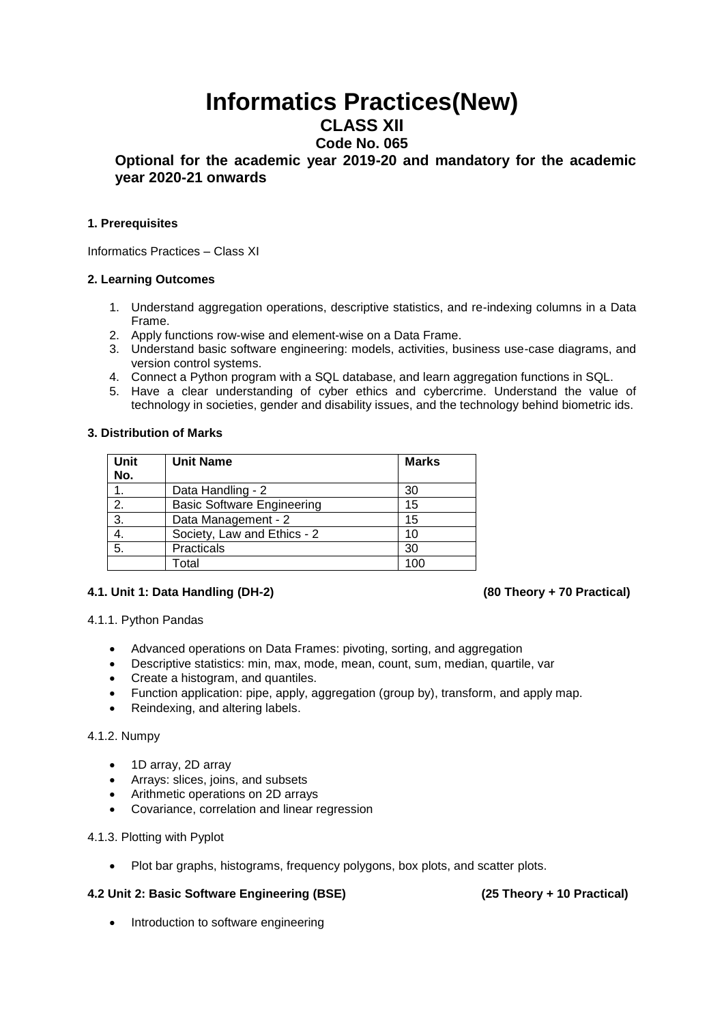# **Informatics Practices(New)**

**CLASS XII**

## **Code No. 065**

### **Optional for the academic year 2019-20 and mandatory for the academic year 2020-21 onwards**

### **1. Prerequisites**

Informatics Practices – Class XI

### **2. Learning Outcomes**

- 1. Understand aggregation operations, descriptive statistics, and re-indexing columns in a Data Frame.
- 2. Apply functions row-wise and element-wise on a Data Frame.
- 3. Understand basic software engineering: models, activities, business use-case diagrams, and version control systems.
- 4. Connect a Python program with a SQL database, and learn aggregation functions in SQL.
- 5. Have a clear understanding of cyber ethics and cybercrime. Understand the value of technology in societies, gender and disability issues, and the technology behind biometric ids.

### **3. Distribution of Marks**

| Unit<br>No. | <b>Unit Name</b>                  | <b>Marks</b> |
|-------------|-----------------------------------|--------------|
|             | Data Handling - 2                 | 30           |
| 2.          | <b>Basic Software Engineering</b> | 15           |
| 3.          | Data Management - 2               | 15           |
| 4.          | Society, Law and Ethics - 2       | 10           |
| 5.          | Practicals                        | 30           |
|             | Total                             | 100          |

### **4.1. Unit 1: Data Handling (DH-2) (80 Theory + 70 Practical)**

### 4.1.1. Python Pandas

- Advanced operations on Data Frames: pivoting, sorting, and aggregation
- Descriptive statistics: min, max, mode, mean, count, sum, median, quartile, var
- Create a histogram, and quantiles.
- Function application: pipe, apply, aggregation (group by), transform, and apply map.
- Reindexing, and altering labels.

### 4.1.2. Numpy

- 1D array, 2D array
- Arrays: slices, joins, and subsets
- Arithmetic operations on 2D arrays
- Covariance, correlation and linear regression
- 4.1.3. Plotting with Pyplot
	- Plot bar graphs, histograms, frequency polygons, box plots, and scatter plots.

### **4.2 Unit 2: Basic Software Engineering (BSE) (25 Theory + 10 Practical)**

• Introduction to software engineering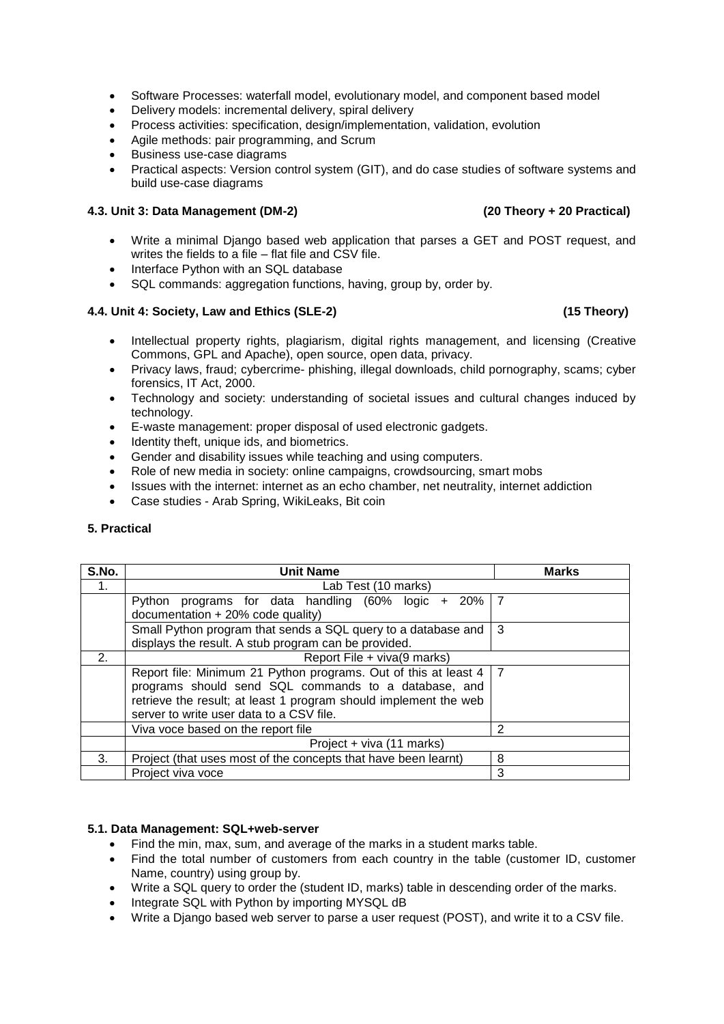- Software Processes: waterfall model, evolutionary model, and component based model
- Delivery models: incremental delivery, spiral delivery
- Process activities: specification, design/implementation, validation, evolution
- Agile methods: pair programming, and Scrum
- Business use-case diagrams
- Practical aspects: Version control system (GIT), and do case studies of software systems and build use-case diagrams

#### **4.3. Unit 3: Data Management (DM-2) (20 Theory + 20 Practical)**

- Write a minimal Django based web application that parses a GET and POST request, and writes the fields to a file – flat file and CSV file.
- Interface Python with an SQL database
- SQL commands: aggregation functions, having, group by, order by.

#### **4.4. Unit 4: Society, Law and Ethics (SLE-2) (15 Theory)**

- Intellectual property rights, plagiarism, digital rights management, and licensing (Creative Commons, GPL and Apache), open source, open data, privacy.
- Privacy laws, fraud; cybercrime- phishing, illegal downloads, child pornography, scams; cyber forensics, IT Act, 2000.
- Technology and society: understanding of societal issues and cultural changes induced by technology.
- E-waste management: proper disposal of used electronic gadgets.
- Identity theft, unique ids, and biometrics.
- Gender and disability issues while teaching and using computers.
- Role of new media in society: online campaigns, crowdsourcing, smart mobs
- Issues with the internet: internet as an echo chamber, net neutrality, internet addiction
- Case studies Arab Spring, WikiLeaks, Bit coin

#### **5. Practical**

| S.No. | <b>Unit Name</b>                                                    | <b>Marks</b>   |
|-------|---------------------------------------------------------------------|----------------|
| 1.    | Lab Test (10 marks)                                                 |                |
|       | programs for data handling $(60\% \text{ logic } + 20\%)$<br>Pvthon | $\overline{7}$ |
|       | documentation + 20% code quality)                                   |                |
|       | Small Python program that sends a SQL query to a database and       | 3              |
|       | displays the result. A stub program can be provided.                |                |
| 2.    | Report File + viva(9 marks)                                         |                |
|       | Report file: Minimum 21 Python programs. Out of this at least 4     | $\overline{7}$ |
|       | programs should send SQL commands to a database, and                |                |
|       | retrieve the result; at least 1 program should implement the web    |                |
|       | server to write user data to a CSV file.                            |                |
|       | Viva voce based on the report file                                  | 2              |
|       | Project + viva (11 marks)                                           |                |
| 3.    | Project (that uses most of the concepts that have been learnt)      | 8              |
|       | Project viva voce                                                   | 3              |

### **5.1. Data Management: SQL+web-server**

- Find the min, max, sum, and average of the marks in a student marks table.
- Find the total number of customers from each country in the table (customer ID, customer Name, country) using group by.
- Write a SQL query to order the (student ID, marks) table in descending order of the marks.
- Integrate SQL with Python by importing MYSQL dB
- Write a Django based web server to parse a user request (POST), and write it to a CSV file.